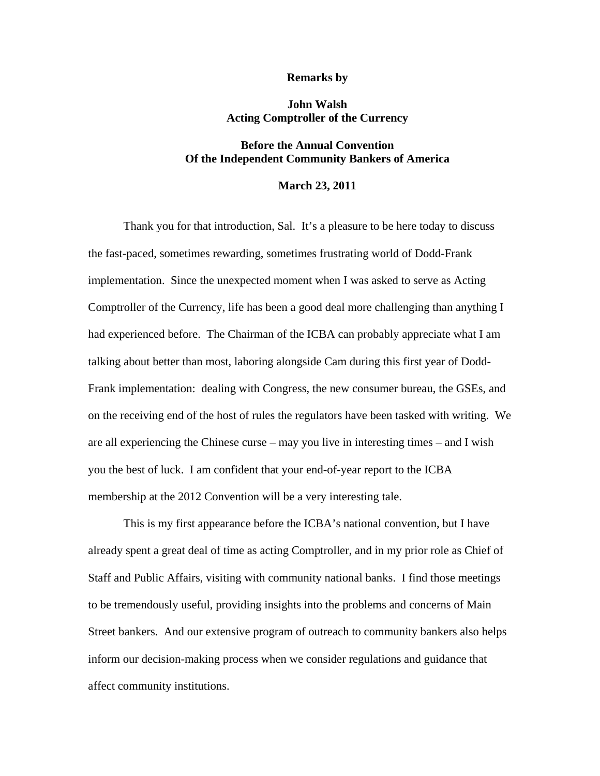## **Remarks by**

## **John Walsh Acting Comptroller of the Currency**

## **Before the Annual Convention Of the Independent Community Bankers of America**

## **March 23, 2011**

Thank you for that introduction, Sal. It's a pleasure to be here today to discuss the fast-paced, sometimes rewarding, sometimes frustrating world of Dodd-Frank implementation. Since the unexpected moment when I was asked to serve as Acting Comptroller of the Currency, life has been a good deal more challenging than anything I had experienced before. The Chairman of the ICBA can probably appreciate what I am talking about better than most, laboring alongside Cam during this first year of Dodd-Frank implementation: dealing with Congress, the new consumer bureau, the GSEs, and on the receiving end of the host of rules the regulators have been tasked with writing. We are all experiencing the Chinese curse – may you live in interesting times – and I wish you the best of luck. I am confident that your end-of-year report to the ICBA membership at the 2012 Convention will be a very interesting tale.

This is my first appearance before the ICBA's national convention, but I have already spent a great deal of time as acting Comptroller, and in my prior role as Chief of Staff and Public Affairs, visiting with community national banks. I find those meetings to be tremendously useful, providing insights into the problems and concerns of Main Street bankers. And our extensive program of outreach to community bankers also helps inform our decision-making process when we consider regulations and guidance that affect community institutions.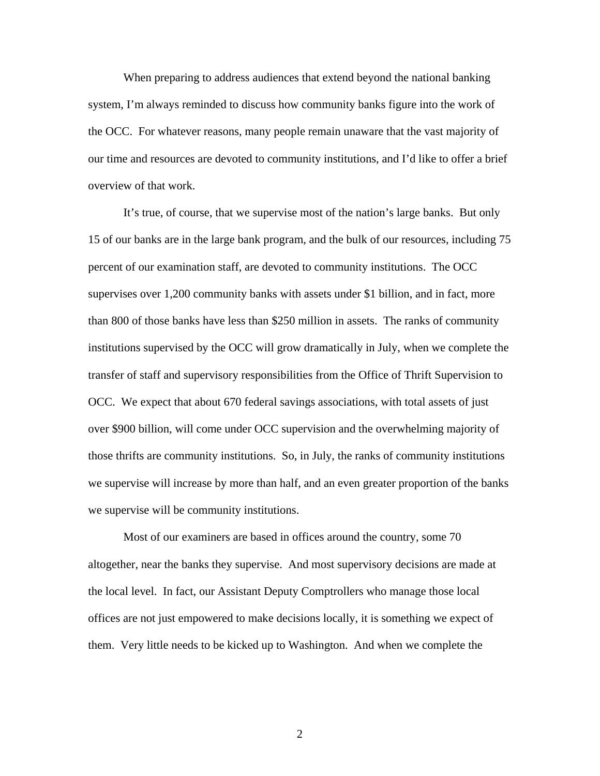When preparing to address audiences that extend beyond the national banking system, I'm always reminded to discuss how community banks figure into the work of the OCC. For whatever reasons, many people remain unaware that the vast majority of our time and resources are devoted to community institutions, and I'd like to offer a brief overview of that work.

It's true, of course, that we supervise most of the nation's large banks. But only 15 of our banks are in the large bank program, and the bulk of our resources, including 75 percent of our examination staff, are devoted to community institutions. The OCC supervises over 1,200 community banks with assets under \$1 billion, and in fact, more than 800 of those banks have less than \$250 million in assets. The ranks of community institutions supervised by the OCC will grow dramatically in July, when we complete the transfer of staff and supervisory responsibilities from the Office of Thrift Supervision to OCC. We expect that about 670 federal savings associations, with total assets of just over \$900 billion, will come under OCC supervision and the overwhelming majority of those thrifts are community institutions. So, in July, the ranks of community institutions we supervise will increase by more than half, and an even greater proportion of the banks we supervise will be community institutions.

Most of our examiners are based in offices around the country, some 70 altogether, near the banks they supervise. And most supervisory decisions are made at the local level. In fact, our Assistant Deputy Comptrollers who manage those local offices are not just empowered to make decisions locally, it is something we expect of them. Very little needs to be kicked up to Washington. And when we complete the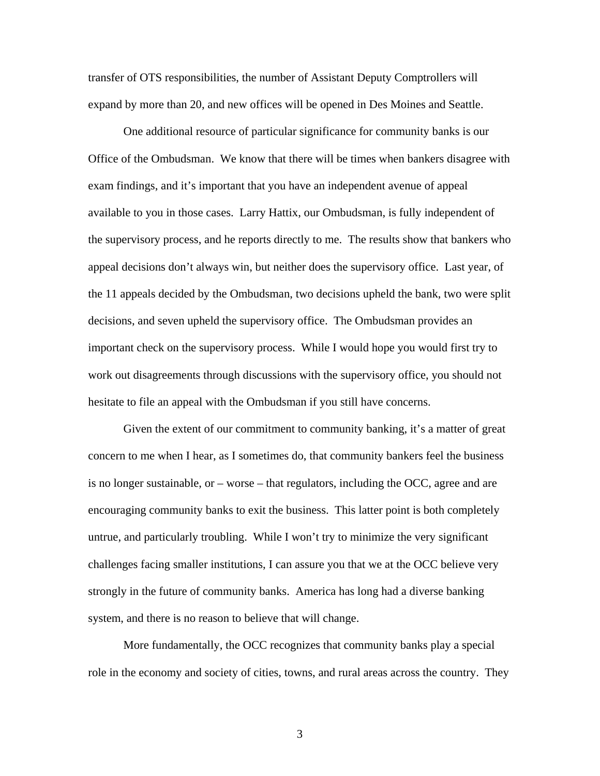transfer of OTS responsibilities, the number of Assistant Deputy Comptrollers will expand by more than 20, and new offices will be opened in Des Moines and Seattle.

One additional resource of particular significance for community banks is our Office of the Ombudsman. We know that there will be times when bankers disagree with exam findings, and it's important that you have an independent avenue of appeal available to you in those cases. Larry Hattix, our Ombudsman, is fully independent of the supervisory process, and he reports directly to me. The results show that bankers who appeal decisions don't always win, but neither does the supervisory office. Last year, of the 11 appeals decided by the Ombudsman, two decisions upheld the bank, two were split decisions, and seven upheld the supervisory office. The Ombudsman provides an important check on the supervisory process. While I would hope you would first try to work out disagreements through discussions with the supervisory office, you should not hesitate to file an appeal with the Ombudsman if you still have concerns.

Given the extent of our commitment to community banking, it's a matter of great concern to me when I hear, as I sometimes do, that community bankers feel the business is no longer sustainable, or – worse – that regulators, including the OCC, agree and are encouraging community banks to exit the business. This latter point is both completely untrue, and particularly troubling. While I won't try to minimize the very significant challenges facing smaller institutions, I can assure you that we at the OCC believe very strongly in the future of community banks. America has long had a diverse banking system, and there is no reason to believe that will change.

More fundamentally, the OCC recognizes that community banks play a special role in the economy and society of cities, towns, and rural areas across the country. They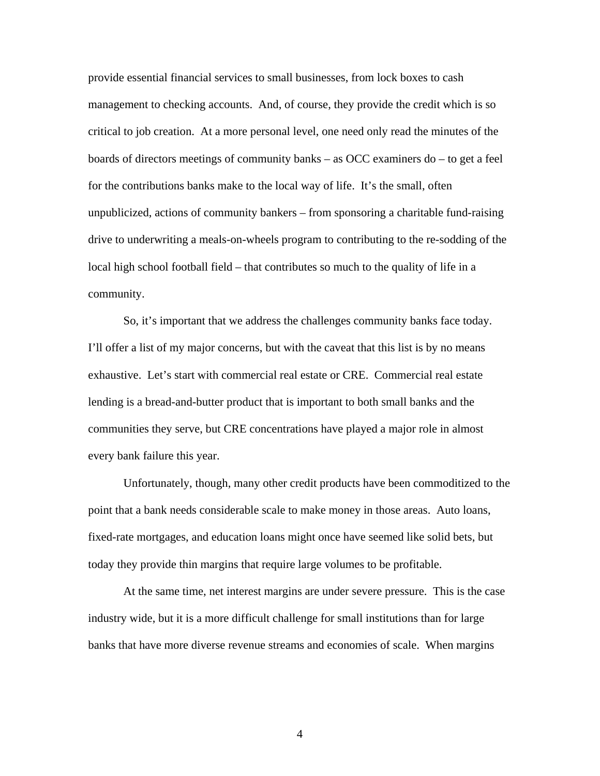provide essential financial services to small businesses, from lock boxes to cash management to checking accounts. And, of course, they provide the credit which is so critical to job creation. At a more personal level, one need only read the minutes of the boards of directors meetings of community banks – as OCC examiners do – to get a feel for the contributions banks make to the local way of life. It's the small, often unpublicized, actions of community bankers – from sponsoring a charitable fund-raising drive to underwriting a meals-on-wheels program to contributing to the re-sodding of the local high school football field – that contributes so much to the quality of life in a community.

So, it's important that we address the challenges community banks face today. I'll offer a list of my major concerns, but with the caveat that this list is by no means exhaustive. Let's start with commercial real estate or CRE. Commercial real estate lending is a bread-and-butter product that is important to both small banks and the communities they serve, but CRE concentrations have played a major role in almost every bank failure this year.

Unfortunately, though, many other credit products have been commoditized to the point that a bank needs considerable scale to make money in those areas. Auto loans, fixed-rate mortgages, and education loans might once have seemed like solid bets, but today they provide thin margins that require large volumes to be profitable.

At the same time, net interest margins are under severe pressure. This is the case industry wide, but it is a more difficult challenge for small institutions than for large banks that have more diverse revenue streams and economies of scale. When margins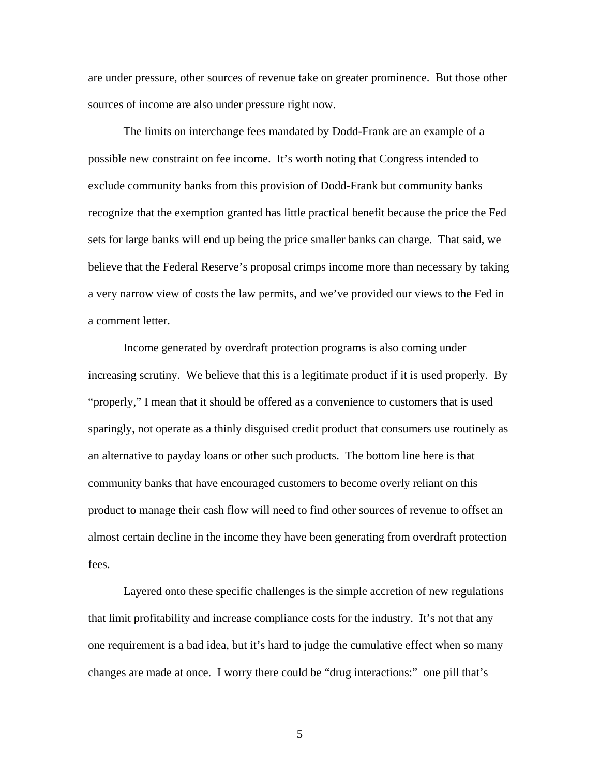are under pressure, other sources of revenue take on greater prominence. But those other sources of income are also under pressure right now.

The limits on interchange fees mandated by Dodd-Frank are an example of a possible new constraint on fee income. It's worth noting that Congress intended to exclude community banks from this provision of Dodd-Frank but community banks recognize that the exemption granted has little practical benefit because the price the Fed sets for large banks will end up being the price smaller banks can charge. That said, we believe that the Federal Reserve's proposal crimps income more than necessary by taking a very narrow view of costs the law permits, and we've provided our views to the Fed in a comment letter.

Income generated by overdraft protection programs is also coming under increasing scrutiny. We believe that this is a legitimate product if it is used properly. By "properly," I mean that it should be offered as a convenience to customers that is used sparingly, not operate as a thinly disguised credit product that consumers use routinely as an alternative to payday loans or other such products. The bottom line here is that community banks that have encouraged customers to become overly reliant on this product to manage their cash flow will need to find other sources of revenue to offset an almost certain decline in the income they have been generating from overdraft protection fees.

Layered onto these specific challenges is the simple accretion of new regulations that limit profitability and increase compliance costs for the industry. It's not that any one requirement is a bad idea, but it's hard to judge the cumulative effect when so many changes are made at once. I worry there could be "drug interactions:" one pill that's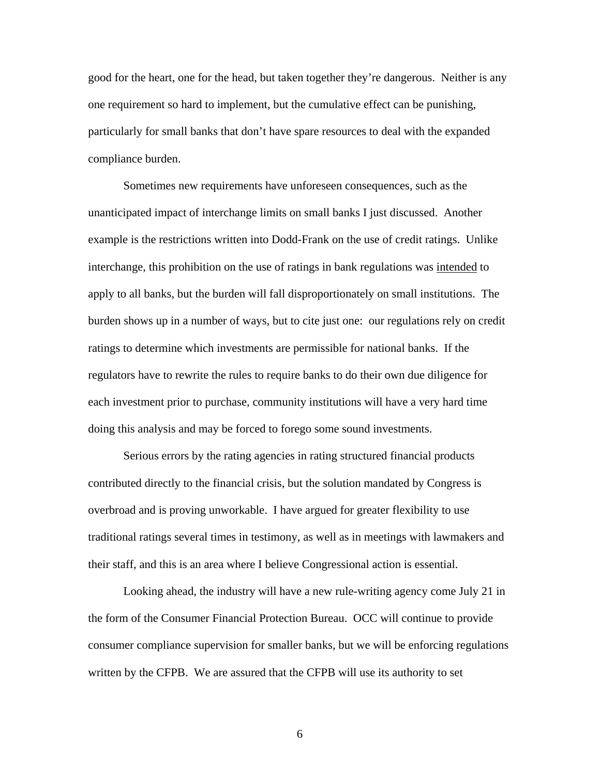good for the heart, one for the head, but taken together they're dangerous. Neither is any one requirement so hard to implement, but the cumulative effect can be punishing, particularly for small banks that don't have spare resources to deal with the expanded compliance burden.

Sometimes new requirements have unforeseen consequences, such as the unanticipated impact of interchange limits on small banks I just discussed. Another example is the restrictions written into Dodd-Frank on the use of credit ratings. Unlike interchange, this prohibition on the use of ratings in bank regulations was intended to apply to all banks, but the burden will fall disproportionately on small institutions. The burden shows up in a number of ways, but to cite just one: our regulations rely on credit ratings to determine which investments are permissible for national banks. If the regulators have to rewrite the rules to require banks to do their own due diligence for each investment prior to purchase, community institutions will have a very hard time doing this analysis and may be forced to forego some sound investments.

Serious errors by the rating agencies in rating structured financial products contributed directly to the financial crisis, but the solution mandated by Congress is overbroad and is proving unworkable. I have argued for greater flexibility to use traditional ratings several times in testimony, as well as in meetings with lawmakers and their staff, and this is an area where I believe Congressional action is essential.

Looking ahead, the industry will have a new rule-writing agency come July 21 in the form of the Consumer Financial Protection Bureau. OCC will continue to provide consumer compliance supervision for smaller banks, but we will be enforcing regulations written by the CFPB. We are assured that the CFPB will use its authority to set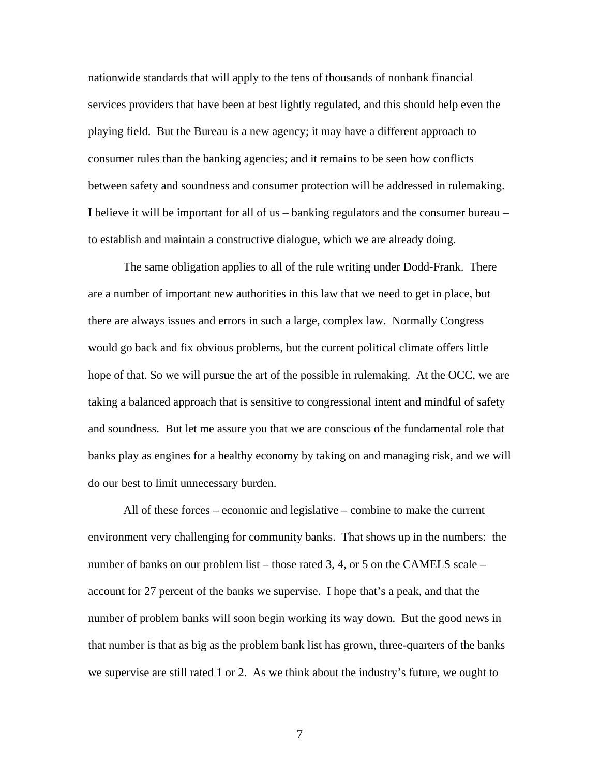nationwide standards that will apply to the tens of thousands of nonbank financial services providers that have been at best lightly regulated, and this should help even the playing field. But the Bureau is a new agency; it may have a different approach to consumer rules than the banking agencies; and it remains to be seen how conflicts between safety and soundness and consumer protection will be addressed in rulemaking. I believe it will be important for all of us – banking regulators and the consumer bureau – to establish and maintain a constructive dialogue, which we are already doing.

The same obligation applies to all of the rule writing under Dodd-Frank. There are a number of important new authorities in this law that we need to get in place, but there are always issues and errors in such a large, complex law. Normally Congress would go back and fix obvious problems, but the current political climate offers little hope of that. So we will pursue the art of the possible in rulemaking. At the OCC, we are taking a balanced approach that is sensitive to congressional intent and mindful of safety and soundness. But let me assure you that we are conscious of the fundamental role that banks play as engines for a healthy economy by taking on and managing risk, and we will do our best to limit unnecessary burden.

All of these forces – economic and legislative – combine to make the current environment very challenging for community banks. That shows up in the numbers: the number of banks on our problem list – those rated 3, 4, or 5 on the CAMELS scale – account for 27 percent of the banks we supervise. I hope that's a peak, and that the number of problem banks will soon begin working its way down. But the good news in that number is that as big as the problem bank list has grown, three-quarters of the banks we supervise are still rated 1 or 2. As we think about the industry's future, we ought to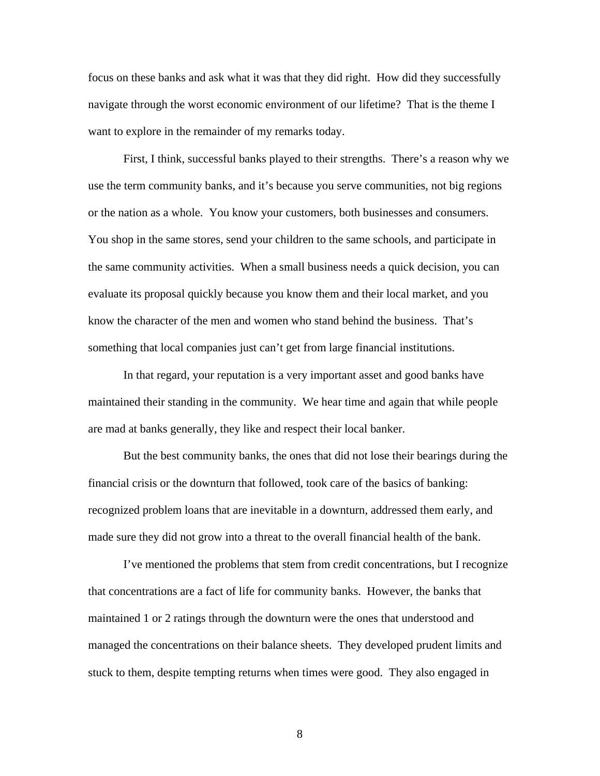focus on these banks and ask what it was that they did right. How did they successfully navigate through the worst economic environment of our lifetime? That is the theme I want to explore in the remainder of my remarks today.

First, I think, successful banks played to their strengths. There's a reason why we use the term community banks, and it's because you serve communities, not big regions or the nation as a whole. You know your customers, both businesses and consumers. You shop in the same stores, send your children to the same schools, and participate in the same community activities. When a small business needs a quick decision, you can evaluate its proposal quickly because you know them and their local market, and you know the character of the men and women who stand behind the business. That's something that local companies just can't get from large financial institutions.

In that regard, your reputation is a very important asset and good banks have maintained their standing in the community. We hear time and again that while people are mad at banks generally, they like and respect their local banker.

But the best community banks, the ones that did not lose their bearings during the financial crisis or the downturn that followed, took care of the basics of banking: recognized problem loans that are inevitable in a downturn, addressed them early, and made sure they did not grow into a threat to the overall financial health of the bank.

I've mentioned the problems that stem from credit concentrations, but I recognize that concentrations are a fact of life for community banks. However, the banks that maintained 1 or 2 ratings through the downturn were the ones that understood and managed the concentrations on their balance sheets. They developed prudent limits and stuck to them, despite tempting returns when times were good. They also engaged in